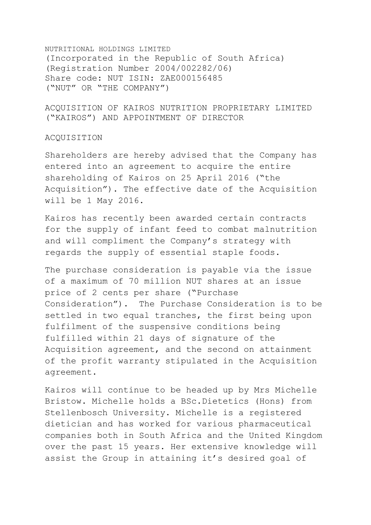NUTRITIONAL HOLDINGS LIMITED (Incorporated in the Republic of South Africa) (Registration Number 2004/002282/06) Share code: NUT ISIN: ZAE000156485 ("NUT" OR "THE COMPANY")

ACQUISITION OF KAIROS NUTRITION PROPRIETARY LIMITED ("KAIROS") AND APPOINTMENT OF DIRECTOR

## ACQUISITION

Shareholders are hereby advised that the Company has entered into an agreement to acquire the entire shareholding of Kairos on 25 April 2016 ("the Acquisition"). The effective date of the Acquisition will be 1 May 2016.

Kairos has recently been awarded certain contracts for the supply of infant feed to combat malnutrition and will compliment the Company's strategy with regards the supply of essential staple foods.

The purchase consideration is payable via the issue of a maximum of 70 million NUT shares at an issue price of 2 cents per share ("Purchase Consideration"). The Purchase Consideration is to be settled in two equal tranches, the first being upon fulfilment of the suspensive conditions being fulfilled within 21 days of signature of the Acquisition agreement, and the second on attainment of the profit warranty stipulated in the Acquisition agreement.

Kairos will continue to be headed up by Mrs Michelle Bristow. Michelle holds a BSc.Dietetics (Hons) from Stellenbosch University. Michelle is a registered dietician and has worked for various pharmaceutical companies both in South Africa and the United Kingdom over the past 15 years. Her extensive knowledge will assist the Group in attaining it's desired goal of